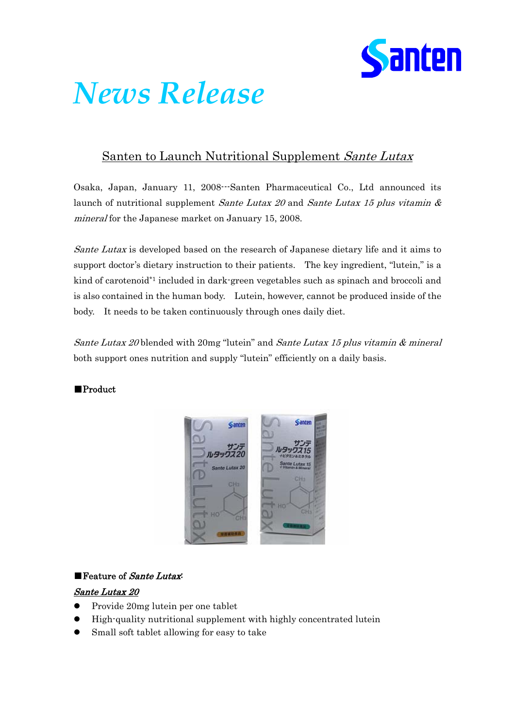

# *News Release*

## Santen to Launch Nutritional Supplement Sante Lutax

Osaka, Japan, January 11, 2008---Santen Pharmaceutical Co., Ltd announced its launch of nutritional supplement Sante Lutax 20 and Sante Lutax 15 plus vitamin  $\&$ mineral for the Japanese market on January 15, 2008.

Sante Lutax is developed based on the research of Japanese dietary life and it aims to support doctor's dietary instruction to their patients. The key ingredient, "lutein," is a kind of carotenoid\*1 included in dark-green vegetables such as spinach and broccoli and is also contained in the human body. Lutein, however, cannot be produced inside of the body. It needs to be taken continuously through ones daily diet.

Sante Lutax 20 blended with 20mg "lutein" and Sante Lutax 15 plus vitamin & mineral both support ones nutrition and supply "lutein" efficiently on a daily basis.

#### ■Product



#### ■ Feature of *Sante Lutax*

#### Sante Lutax 20

- z Provide 20mg lutein per one tablet
- High-quality nutritional supplement with highly concentrated lutein
- Small soft tablet allowing for easy to take